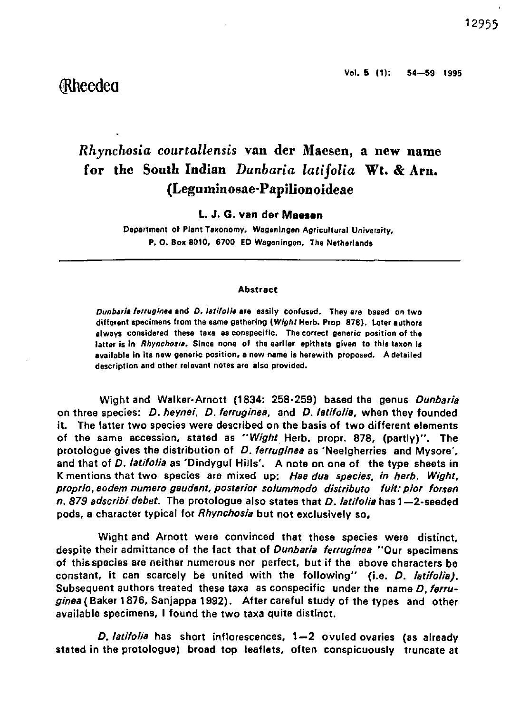## (Rheedea

# *Rhynchosia courtallensis* van der Maesen, a new name for the South Indian *Dunbaria latifolia* Wt. & Arn. (Leguminosae-Papilionoideae

L. J. G. **van der Maesen** 

Department of Plant Taxonomy, Wageningen Agricultural University, P. O. Box 8010, 6700 ED Wageningen, The Netherlands

#### **Abstract**

Dunbaria ferruginea and D. latifolia are easily confused. They are based on two different specimens from the same gathering {Wight Herb. Prop 878). Later authors always considered these taxa as conspecific. The correct generic position of the latter is in *Rhynchosia*. Since none of the earlier epithets given to this taxon is available in its new generic position, a new name is herewith proposed. A detailed description and other relevant notes are also provided.

Wight and Walker-Arnott (1834: 258-259) based the genus Dunbaria on three species: D. heynei, D. ferruginea, and D. latifolia, when they founded it. The latter two species were described on the basis of two different elements of the same accession, stated as "Wight Herb, propr. 878, (partly)". The protologue gives the distribution of D. ferrugines as 'Neelgherries and Mysore'. and that of *D. latifolia* as 'Dindygul Hills'. A note on one of the type sheets in K mentions that two species are mixed up: Hae dua species, in herb. Wight, proprio, eodem numero gaudent, posterior solummodo distributo fuit: pior forsan n. 879 adscribi debet. The protologue also states that D. latifolia has 1-2-seeded pods, a character typical for Rhynchosia but not exclusively so.

Wight and Arnott were convinced that these species were distinct, despite their admittance of the fact that of Dunbaria ferruginea "Our specimens of this species are neither numerous nor perfect, but if the above characters be constant, it can scarcely be united with the following" (i.e. D. latifolia). Subsequent authors treated these taxa as conspecific under the name D. ferruginea (Baker 1876, Sanjappa 1992). After careful study of the types and other available specimens, I found the two taxa quite distinct.

D. latifolia has short inflorescences, 1—2 ovuled ovaries (as already stated in the protologue) broad top leaflets, often conspicuously truncate at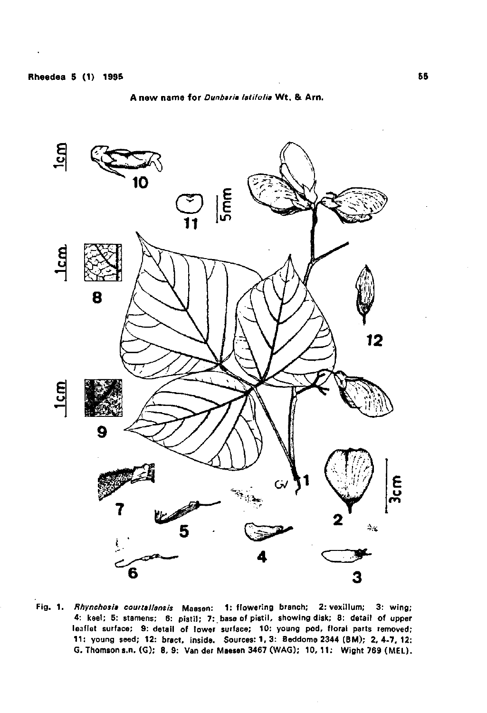### **A new nama for** Dunbaria latifolia Wt . & Am .



Fig. 1. Rfiynchosia courtal/ansis Massen: 1: flowering branch; 2: vexillum; 3: wing; 4: keel; 5: stamens; 6: pistil; 7: base of pistil, showing disk; 8: detail of upper leaflet surface; 9: detail of lower surface; 10: young pod, floral parts removed; 11: young seed; 12: bract, inside. Sources: 1,3: Beddome 2344 (BM); 2,4-7,12: G. Thomson s.n. (G); 8,9: Van der Maesen 3467 (WAG); **10,11:** Wight 769 (MEL).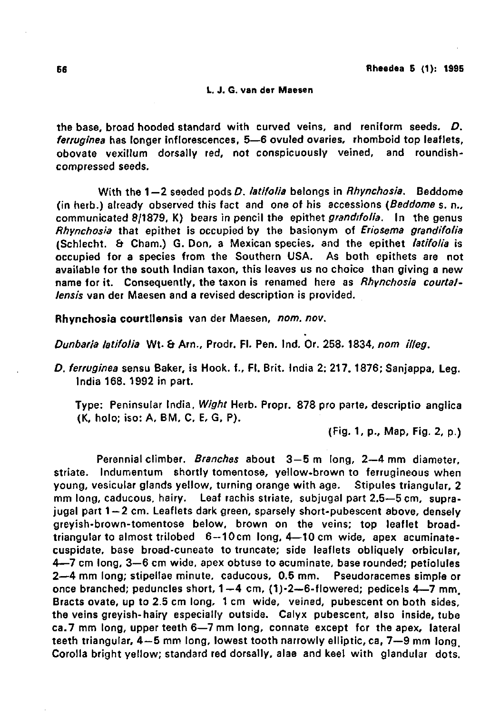#### **L. J. G. van der Maesen**

the base, broad hooded standard with curved veins, and reniform seeds. D. ferruginea has longer inflorescences, 5—6 ovuled ovaries, rhomboid top leaflets, obovate vexillum dorsally red, not conspicuously veined, and roundishcompressed seeds.

With the  $1-2$  seeded pods D. *latifolia* belongs in *Rhynchosia*. Beddome (in herb.) already observed this fact and one of his accessions (Beddome s. n., communicated 8/1879, K) bears in pencil the epithet grandifolia. In the genus Rhynchosia that epithet is occupied by the basionym of Eriosema grandifolia (Schlecht. & Cham.) G. Don, a Mexican species, and the epithet latifolia is occupied for a species from the Southern USA. As both epithets are not available for the south Indian taxon, this leaves us no choice than giving a new name for it. Consequently, the taxon is renamed here as Rhynchosia courtallensis van der Maesen and a revised description is provided.

Rhynchosia courtllensis van der Maesen, nom. nov.

Dunbaria latifolia Wt. & Am., Prodr. Fl. Pen. Ind. Or. 258. 1834, nom illeg.

D. ferruginea sensu Baker, is Hook, f., Fl. Brit. India 2: 217. 1876; Sanjappa, Leg. India 168. 1992 in part.

Type: Peninsular India, Wight Herb. Propr. 878 pro parte, descriptio anglica (K, holo; iso: A, BM, C, E, G, P).

(Fig. 1, p., Map, Fig. 2, p.)

Perennial climber. Branches about 3-5 m long, 2-4 mm diameter, striate. Indumentum shortly tomentose, yellow-brown to ferrugineous when young, vesicular glands yellow, turning orange with age. Stipules triangular, 2 mm long, caducous, hairy. Leaf rachis striate, subjugal part 2.5—5 cm, suprajugal part 1-2 cm. Leaflets dark green, sparsely short-pubescent above, densely greyish-brown-tomentose below, brown on the veins; top leaflet broadtriangular to almost trilobed 6—10cm long, 4—10 cm wide, apex acuminatecuspidate, base broad-cuneate to truncate; side leaflets obliquely orbicular, 4—7 cm long, 3—6 cm wide, apex obtuse to acuminate, base rounded; petiolules 2—4 mm long; stipellae minute, caducous, 0.5 mm. Pseudoracemes simple or once branched; peduncles short,  $1-4$  cm,  $(1)-2-6$ -flowered; pedicels  $4-7$  mm. Bracts ovate, up to 2.5 cm long, 1 cm wide, veined, pubescent on both sides, the veins greyish-hairy especially outside. Calyx pubescent, also inside, tube ca.7 mm long, upper teeth 6—7 mm long, connate except for the apex, lateral teeth triangular, 4—5 mm long, lowest tooth narrowly elliptic, ca, 7—9 mm long. Corolla bright yellow; standard red dorsally, alae and keel with glandular dots.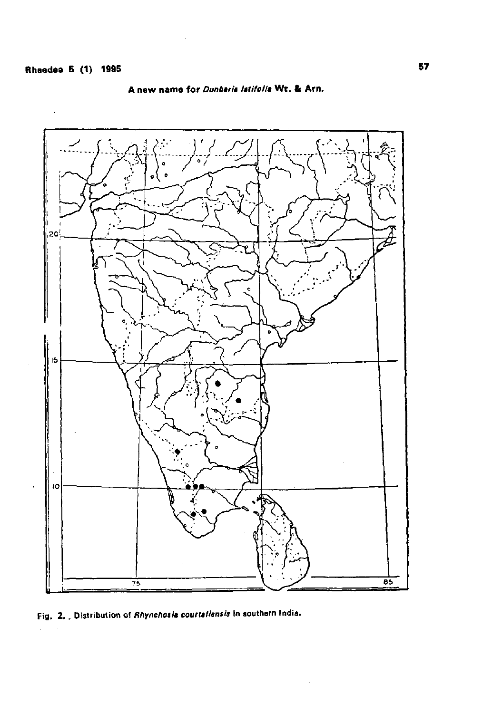

A new name for *Dunbaris Istifolia* Wt. & Arn.

Fig. 2. Distribution of Rhynchosis courtallensis in southern India.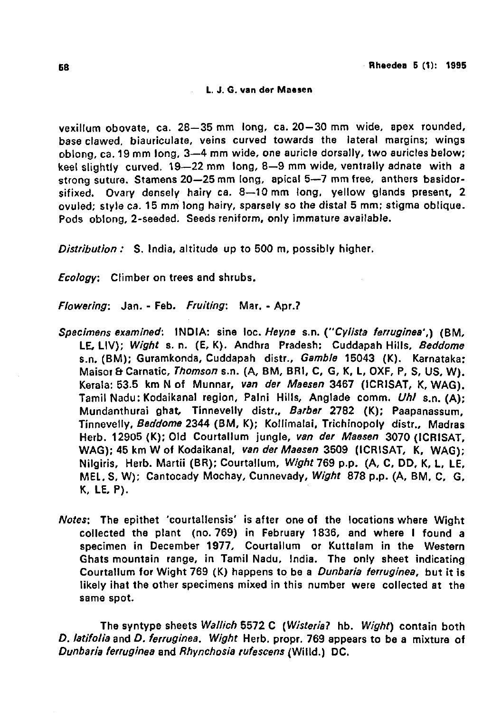## **L. J. G. van der Maesen**

vexillum obovate, ca. 28—35 mm long, ca. 20-30 mm wide, apex rounded, base clawed, biauriculate, veins curved towards the lateral margins; wings oblong, ca. 19 mm long, 3—4 mm wide, one auricle dorsally, two auricles below; keel slightly curved. 19—22 mm long, 8—9 mm wide, ventrally adnate with a strong suture. Stamens 20—25 mm long, apical 5—7 mm free, anthers basidorsifixed. Ovary densely hairy ca. 8—10 mm long, yellow glands present, 2 ovuled; style ca. 15 mm long hairy, sparsely so the distal 5 mm; stigma oblique. Pods oblong, 2-seeded. Seeds reniform, only immature available.

Distribution : S. India, altitude up to 500 m, possibly higher.

**Ecology:** Climber on trees and shrubs.

Flowering: Jan. - Feb. Fruiting: Mar. - Apr.?

- Specimens examined: INDIA: sine loc. Heyne s.n. ("Cylista ferruginea',) (BM, LE, LIV); Wight s. n. (E, K). Andhra Pradesh; Cuddapah Hills, Beddome s.n. (BM); Guramkonda, Cuddapah distr., Gamble 15043 (K). Karnataka: Maisor & Carnatic, Thomson s.n. (A, BM, BRI, C, G, K, L, OXF, P, S, US, W). Kerala: 53.5 km N of Munnar, van der Maesen 3467 (ICRISAT, K, WAG). Tamil Nadu: Kodaikanal region, Palni Hills, Anglade comm. Uhl s.n. (A): Mundanthurai ghat, Tinnevelly distr.. Barber 2782 (K); Paapanassum, Tinnevelly, Beddome 2344 (BM, K); Kollimalai, Trichinopoly distr., Madras Herb. 12905 (K); Old Courtallum jungle, van der Maesen 3070 (ICRISAT, WAG); 45 km W of Kodaikanal, van der Maesen 3509 (ICRISAT, K, WAG); Nilgiris, Herb. Martii (BR); Courtallum, Wight 769 p.p. (A, C, DD, K, L, LE, MEL, S, W); Cantocady Mochay, Cunnevady, Wight 878 p.p. (A, BM, C, G, K, LE, P).
- Notes; The epithet 'courtallensis' is after one of the locations where Wight collected the plant (no. 769) in February 1836, and where I found a specimen in December 1977, Courtallum or Kuttalam in the Western Ghats mountain range, in Tamil Nadu, India. The only sheet indicating Courtallum for Wight 769 (K) happens to be a *Dunbaria ferruginea*, but it is likely ihat the other specimens mixed in this number were collected at the same spot.

The syntype sheets Wallich 5572 C (Wisteria? hb. Wight) contain both D. latifolia and D. ferruginea. Wight Herb. propr. 769 appears to be a mixture of Dunbaria ferruginea and Rhynchosia rufescens (Willd.) DC.